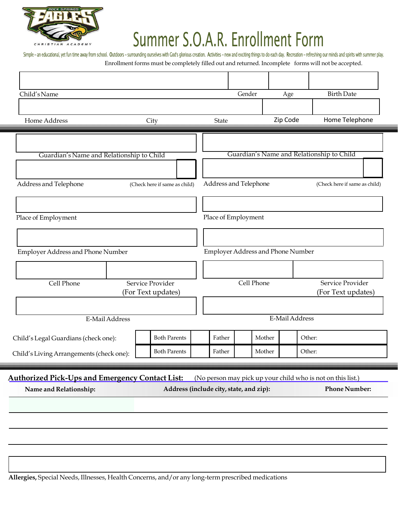

# Summer S.O.A.R. Enrollment Form

Simple - an educational, yet fun time away from school. Outdoors - surrounding ourselves with God's glorious creation. Activities - new and exciting things to do each day. Recreation - refreshing our minds and spirits with Enrollment forms must be completely filled out and returned. Incomplete forms will not be accepted.

| Child's Name                                                                     |  |                                                      |                                         |        | Gender                                                 | Age                               |                                                             | <b>Birth Date</b>    |
|----------------------------------------------------------------------------------|--|------------------------------------------------------|-----------------------------------------|--------|--------------------------------------------------------|-----------------------------------|-------------------------------------------------------------|----------------------|
| Home Address                                                                     |  | City                                                 |                                         | State  |                                                        | Zip Code                          |                                                             | Home Telephone       |
|                                                                                  |  |                                                      |                                         |        |                                                        |                                   |                                                             |                      |
| Guardian's Name and Relationship to Child                                        |  |                                                      |                                         |        |                                                        |                                   | Guardian's Name and Relationship to Child                   |                      |
|                                                                                  |  |                                                      |                                         |        |                                                        |                                   |                                                             |                      |
| Address and Telephone                                                            |  |                                                      | (Check here if same as child)           |        | Address and Telephone<br>(Check here if same as child) |                                   |                                                             |                      |
|                                                                                  |  |                                                      |                                         |        |                                                        |                                   |                                                             |                      |
| Place of Employment                                                              |  |                                                      | Place of Employment                     |        |                                                        |                                   |                                                             |                      |
|                                                                                  |  |                                                      |                                         |        |                                                        |                                   |                                                             |                      |
| Employer Address and Phone Number                                                |  |                                                      |                                         |        |                                                        | Employer Address and Phone Number |                                                             |                      |
|                                                                                  |  |                                                      |                                         |        |                                                        |                                   |                                                             |                      |
|                                                                                  |  |                                                      |                                         |        |                                                        |                                   |                                                             |                      |
| Cell Phone<br>Service Provider<br>(For Text updates)                             |  | Cell Phone<br>Service Provider<br>(For Text updates) |                                         |        |                                                        |                                   |                                                             |                      |
|                                                                                  |  |                                                      |                                         |        |                                                        |                                   |                                                             |                      |
| E-Mail Address                                                                   |  |                                                      |                                         |        |                                                        | E-Mail Address                    |                                                             |                      |
| Child's Legal Guardians (check one):                                             |  |                                                      | <b>Both Parents</b>                     | Father |                                                        | Mother                            | Other:                                                      |                      |
| Child's Living Arrangements (check one):                                         |  |                                                      | <b>Both Parents</b>                     | Father |                                                        | Mother                            | Other:                                                      |                      |
|                                                                                  |  |                                                      |                                         |        |                                                        |                                   |                                                             |                      |
| <b>Authorized Pick-Ups and Emergency Contact List:</b><br>Name and Relationship: |  |                                                      | Address (include city, state, and zip): |        |                                                        |                                   | (No person may pick up your child who is not on this list.) | <b>Phone Number:</b> |
|                                                                                  |  |                                                      |                                         |        |                                                        |                                   |                                                             |                      |
|                                                                                  |  |                                                      |                                         |        |                                                        |                                   |                                                             |                      |
|                                                                                  |  |                                                      |                                         |        |                                                        |                                   |                                                             |                      |
|                                                                                  |  |                                                      |                                         |        |                                                        |                                   |                                                             |                      |

**Allergies,** Special Needs, Illnesses, Health Concerns, and/or any long-term prescribed medications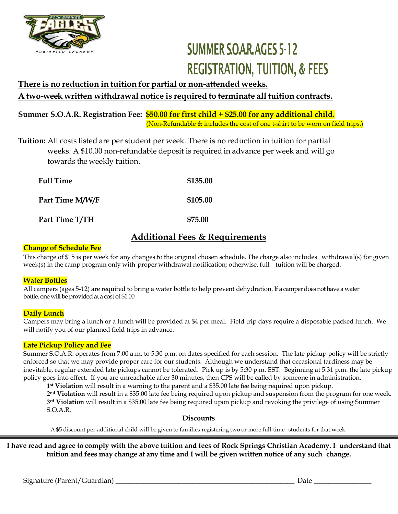

## **SUMMER SOAR AGES 5-12 REGISTRATION, TUITION, & FEES**

## **There is no reduction in tuition for partial or non-attended weeks. A two-week written withdrawal notice is required to terminate all tuition contracts.**

**Summer S.O.A.R. Registration Fee: \$50.00 for first child + \$25.00 for any additional child.** (Non-Refundable & includes the cost of one t-shirt to be worn on field trips.)

**Tuition:** All costs listed are per student per week. There is no reduction in tuition for partial weeks. A \$10.00 non-refundable deposit is required in advance per week and will go towards the weekly tuition.

| <b>Full Time</b> | \$135.00 |
|------------------|----------|
| Part Time M/W/F  | \$105.00 |
| Part Time T/TH   | \$75.00  |

### **Additional Fees & Requirements**

### **Change of Schedule Fee**

This charge of \$15 is per week for any changes to the original chosen schedule. The charge also includes withdrawal(s) for given week(s) in the camp program only with proper withdrawal notification; otherwise, full tuition will be charged.

### **Water Bottles**

All campers (ages 5-12) are required to bring a water bottle to help prevent dehydration. If a camper does not have a water bottle, one will be provided at a cost of \$1.00

### **Daily Lunch**

Campers may bring a lunch or a lunch will be provided at \$4 per meal. Field trip days require a disposable packed lunch. We will notify you of our planned field trips in advance.

### **Late Pickup Policy and Fee**

Summer S.O.A.R. operates from 7:00 a.m. to 5:30 p.m. on dates specified for each session. The late pickup policy will be strictly enforced so that we may provide proper care for our students. Although we understand that occasional tardiness may be inevitable, regular extended late pickups cannot be tolerated. Pick up is by 5:30 p.m. EST. Beginning at 5:31 p.m. the late pickup policy goes into effect. If you are unreachable after 30 minutes, then CPS will be called by someone in administration.

**1 st Violation** will result in a warning to the parent and a \$35.00 late fee being required upon pickup.

**2 nd Violation** will result in a \$35.00 late fee being required upon pickup and suspension from the program for one week. **3 rd Violation** will result in a \$35.00 late fee being required upon pickup and revoking the privilege of using Summer S.O.A.R.

### **Discounts**

A \$5 discount per additional child will be given to families registering two or more full-time students for that week.

I have read and agree to comply with the above tuition and fees of Rock Springs Christian Academy. I understand that **tuition and fees may change at any time and I will be given written notice of any such change.**

Signature (Parent/Guardian) \_\_\_\_\_\_\_\_\_\_\_\_\_\_\_\_\_\_\_\_\_\_\_\_\_\_\_\_\_\_\_\_\_\_\_\_\_\_\_\_\_\_\_\_\_\_\_\_\_\_\_ Date \_\_\_\_\_\_\_\_\_\_\_\_\_\_\_\_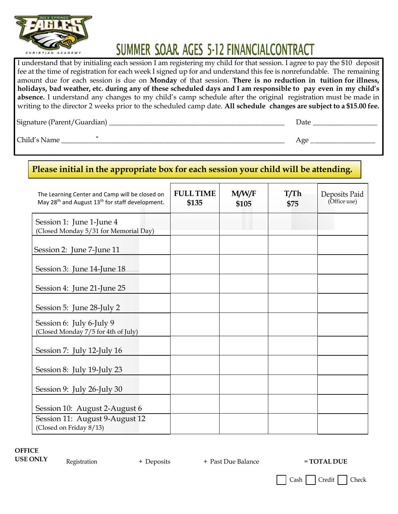

## SUMMER SOAR AGES 5-12 FINANCIALCONTRACT

I understand that by initialing each session I am registering my child for that session. I agree to pay the \$10 deposit fee at the time of registration for each week I signed up for and understand this fee is nonrefundable. The remaining amount due for each session is due on **Monday** of that session. **There is no reduction in tuition for illness,** holidays, bad weather, etc. during any of these scheduled days and I am responsible to pay even in my child's **absence.** I understand any changes to my child's camp schedule after the original registration must be made in writing to the director 2 weeks prior to the scheduled camp date. **All schedule changes are subject to a \$15.00 fee.**

Signature (Parent/Guardian) \_\_\_\_\_\_\_\_\_\_\_\_\_\_\_\_\_\_\_\_\_\_\_\_\_\_\_\_\_\_\_\_\_\_\_\_\_\_\_\_\_\_\_\_\_\_\_\_\_\_ Date \_\_\_\_\_\_\_\_\_\_\_\_\_\_\_\_\_\_

 $\text{Child's Name}$   $\overline{\phantom{a}}$  Age

### The Learning Center and Camp will be closed on May 28<sup>th</sup> and August 13<sup>th</sup> for staff development. **FULLTIME \$135 M/W/F \$105 T/Th \$75** Deposits Paid (Office use) Session 1: June 1-June 4 (Closed Monday 5/31 for Memorial Day) Session 2: June 7-June 11 Session 3: June 14-June 18 Session 4: June 21-June 25 Session 5: June 28-July 2 Session 6: July 6-July 9 (Closed Monday 7/5 for 4th of July) Session 7: July 12-July 16 Session 8: July 19-July 23 Session 9: July 26-July 30 **Please initial in the appropriate box for each session your child will be attending.**

Session 10: August 2-August 6 Session 11: August 9-August 12 (Closed on Friday 8/13)

**OFFICE**

**USE ONLY** Registration + Deposits + Past Due Balance = **TOTAL DUE** 

Cash | Credit | Check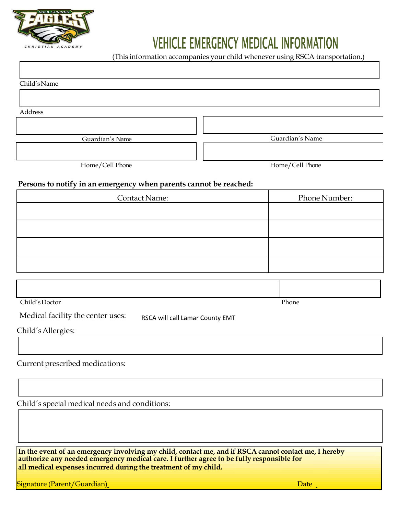

## **VEHICLE EMERGENCY MEDICAL INFORMATION**

(This information accompanies your child whenever using RSCA transportation.)

Child'sName

Address

Guardian's Name Guardian's Name

Home/Cell Phone Home/Cell Phone

#### **Persons to notify in an emergency when parents cannot be reached:**

| <b>Contact Name:</b> | Phone Number: |
|----------------------|---------------|
|                      |               |
|                      |               |
|                      |               |
|                      |               |

| Child's Doctor | Phone |
|----------------|-------|

Medical facility the center uses: RSCA will call Lamar County EMT

| Child's Allergies: |  |
|--------------------|--|
|--------------------|--|

### Current prescribed medications:

Child's special medical needs and conditions:

**In the event of an emergency involving my child, contact me, and if RSCA cannot contact me, I hereby authorize any needed emergency medical care. I further agree to be fully responsible for all medical expenses incurred during the treatment of my child.**

Signature (Parent/Guardian) and the contract of the contract of the contract of the contract of the contract of the contract of the contract of the contract of the contract of the contract of the contract of the contract o